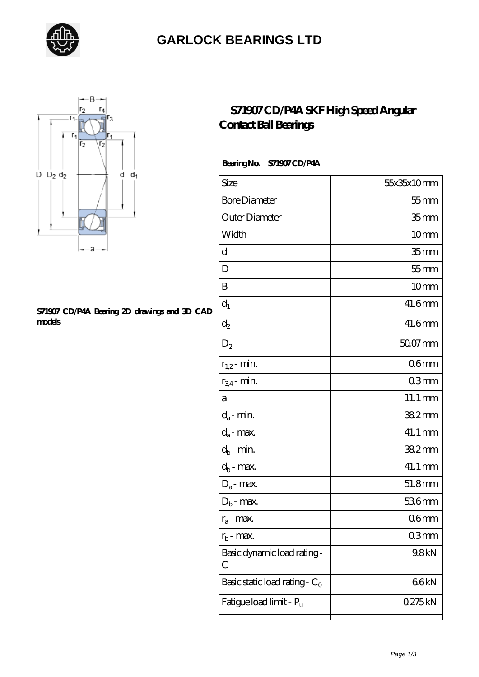

### **[GARLOCK BEARINGS LTD](https://letterstopriests.com)**



#### **[S71907 CD/P4A Bearing 2D drawings and 3D CAD](https://letterstopriests.com/pic-935121.html) [models](https://letterstopriests.com/pic-935121.html)**

### **[S71907 CD/P4A SKF High Speed Angular](https://letterstopriests.com/skf-bearing/s71907-cd-p4a.html) [Contact Ball Bearings](https://letterstopriests.com/skf-bearing/s71907-cd-p4a.html)**

### **Bearing No. S71907 CD/P4A**

| Size                             | 55x35x10mm           |
|----------------------------------|----------------------|
| <b>Bore Diameter</b>             | $55$ mm              |
| Outer Diameter                   | 35 <sub>mm</sub>     |
| Width                            | 10 <sub>mm</sub>     |
| d                                | 35 <sub>mm</sub>     |
| D                                | $55$ mm              |
| B                                | 10 <sub>mm</sub>     |
| $d_1$                            | 41.6mm               |
| $\mathrm{d}_2$                   | 41.6mm               |
| $D_2$                            | 50.07 mm             |
| $r_{1,2}$ - min.                 | 06 <sub>mm</sub>     |
| $r_{34}$ - min.                  | 03mm                 |
| а                                | $11.1 \,\mathrm{mm}$ |
| $d_a$ - min.                     | 382mm                |
| $d_{\boldsymbol{a}}$ - max.      | 41.1 mm              |
| $d_b$ - min.                     | 382mm                |
| $d_b$ - $\max$                   | 41.1 mm              |
| $D_a$ - max.                     | 51.8mm               |
| $D_b$ - max.                     | 536mm                |
| $r_a$ - max.                     | 06 <sub>mm</sub>     |
| $r_{\rm b}$ - max.               | 03mm                 |
| Basic dynamic load rating-<br>С  | 9.8kN                |
| Basic static load rating - $C_0$ | 66kN                 |
| Fatigue load limit - Pu          | 0275kN               |
|                                  |                      |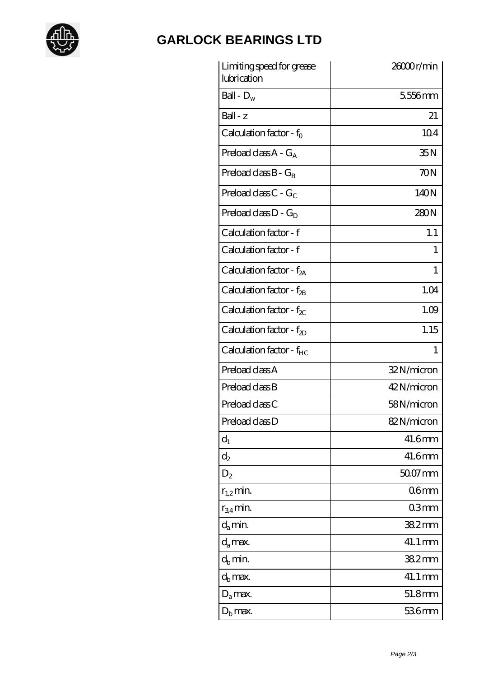

# **[GARLOCK BEARINGS LTD](https://letterstopriests.com)**

| Limiting speed for grease<br>lubrication | 26000r/min       |
|------------------------------------------|------------------|
| Ball - $D_w$                             | 5556mm           |
| $Ball - z$                               | 21               |
| Calculation factor - $f_0$               | 104              |
| Preload class $A - G_A$                  | 35N              |
| Preload class $B - G_B$                  | 70N              |
| Preload class C - $G_C$                  | 140N             |
| Preload class $D - G_D$                  | 280N             |
| Calculation factor - f                   | 1.1              |
| Calculation factor - f                   | 1                |
| Calculation factor - $f_{2A}$            | 1                |
| Calculation factor - f <sub>2B</sub>     | 1.04             |
| Calculation factor - $f_{\chi}$          | 1.09             |
| Calculation factor - $f_{2D}$            | 1.15             |
| Calculation factor - f <sub>HC</sub>     | 1                |
| Preload class A                          | 32N/micron       |
| Preload class B                          | 42N/micron       |
| Preload class C                          | 58N/micron       |
| Preload class D                          | 82N/micron       |
| $d_1$                                    | 41.6mm           |
| $d_2$                                    | 41.6mm           |
| $D_2$                                    | $5007$ mm        |
| $r_{1,2}$ min.                           | 06 <sub>mm</sub> |
| $r_{34}$ min.                            | 03mm             |
| $d_a$ min.                               | 382mm            |
| $d_a$ max.                               | 41.1 mm          |
| $d_b$ min.                               | 38.2mm           |
| $d_h$ max.                               | 41.1 mm          |
| $D_a$ max.                               | 51.8mm           |
| $D_{\rm b}$ max.                         | 536mm            |